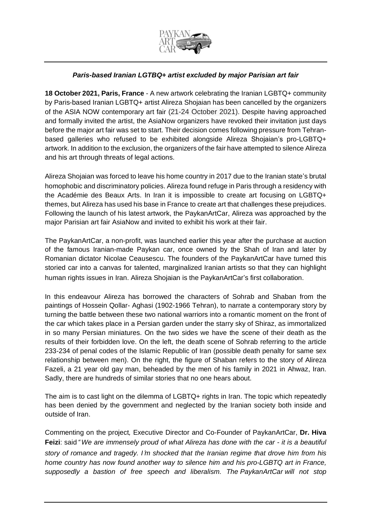

## *Paris-based Iranian LGTBQ+ artist excluded by major Parisian art fair*

**18 October 2021, Paris, France** - A new artwork celebrating the Iranian LGBTQ+ community by Paris-based Iranian LGBTQ+ artist Alireza Shojaian has been cancelled by the organizers of the ASIA NOW contemporary art fair (21-24 October 2021). Despite having approached and formally invited the artist, the AsiaNow organizers have revoked their invitation just days before the major art fair was set to start. Their decision comes following pressure from Tehranbased galleries who refused to be exhibited alongside Alireza Shojaian's pro-LGBTQ+ artwork. In addition to the exclusion, the organizers of the fair have attempted to silence Alireza and his art through threats of legal actions.

Alireza Shojaian was forced to leave his home country in 2017 due to the Iranian state's brutal homophobic and discriminatory policies. Alireza found refuge in Paris through a residency with the Académie des Beaux Arts. In Iran it is impossible to create art focusing on LGBTQ+ themes, but Alireza has used his base in France to create art that challenges these prejudices. Following the launch of his latest artwork, the PaykanArtCar, Alireza was approached by the major Parisian art fair AsiaNow and invited to exhibit his work at their fair.

The PaykanArtCar, a non-profit, was launched earlier this year after the purchase at auction of the famous Iranian-made Paykan car, once owned by the Shah of Iran and later by Romanian dictator Nicolae Ceausescu. The founders of the PaykanArtCar have turned this storied car into a canvas for talented, marginalized Iranian artists so that they can highlight human rights issues in Iran. Alireza Shojaian is the PaykanArtCar's first collaboration.

In this endeavour Alireza has borrowed the characters of Sohrab and Shaban from the paintings of Hossein Qollar- Aghasi (1902-1966 Tehran), to narrate a contemporary story by turning the battle between these two national warriors into a romantic moment on the front of the car which takes place in a Persian garden under the starry sky of Shiraz, as immortalized in so many Persian miniatures. On the two sides we have the scene of their death as the results of their forbidden love. On the left, the death scene of Sohrab referring to the article 233-234 of penal codes of the Islamic Republic of Iran (possible death penalty for same sex relationship between men). On the right, the figure of Shaban refers to the story of Alireza Fazeli, a 21 year old gay man, beheaded by the men of his family in 2021 in Ahwaz, Iran. Sadly, there are hundreds of similar stories that no one hears about.

The aim is to cast light on the dilemma of LGBTQ+ rights in Iran. The topic which repeatedly has been denied by the government and neglected by the Iranian society both inside and outside of Iran.

Commenting on the project*,* Executive Director and Co-Founder of PaykanArtCar, **Dr. Hiva Feizi**: said" *We are immensely proud of what Alireza has done with the car - it is a beautiful story of romance and tragedy. I*'*m shocked that the Iranian regime that drove him from his home country has now found another way to silence him and his pro-LGBTQ art in France, supposedly a bastion of free speech and liberalism. The PaykanArtCar will not stop*